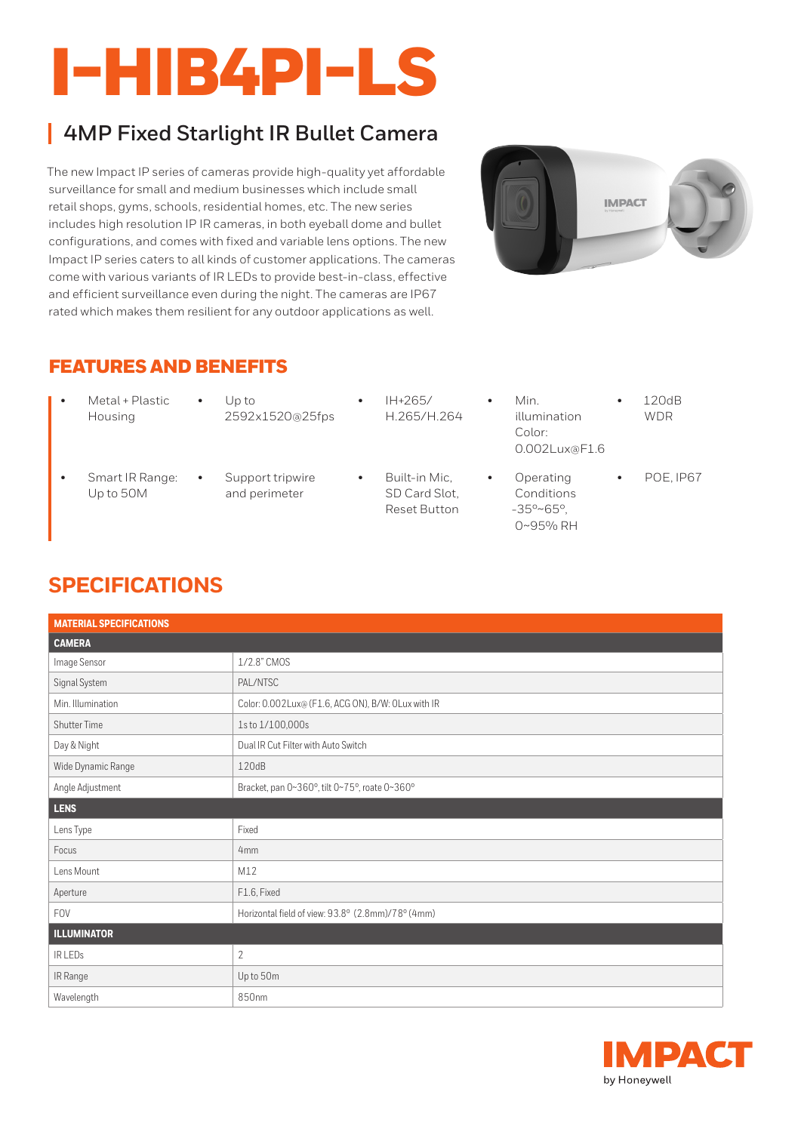# I-HIB4PI-LS

## **4MP Fixed Starlight IR Bullet Camera**

The new Impact IP series of cameras provide high-quality yet affordable surveillance for small and medium businesses which include small retail shops, gyms, schools, residential homes, etc. The new series includes high resolution IP IR cameras, in both eyeball dome and bullet configurations, and comes with fixed and variable lens options. The new Impact IP series caters to all kinds of customer applications. The cameras come with various variants of IR LEDs to provide best-in-class, effective and efficient surveillance even during the night. The cameras are IP67 rated which makes them resilient for any outdoor applications as well.



#### FEATURES AND BENEFITS

- Metal + Plastic Housing
- Up to 2592x1520@25fps
- IH+265/ H.265/H.264
- illumination Color: 0.002Lux@F1.6

• Min.

- Smart IR Range: Up to 50M
- Support tripwire and perimeter
- Built-in Mic, SD Card Slot, Reset Button
- Operating Conditions -35°~65°, 0~95% RH
- POE, IP67

• 120dB WDR

## **SPECIFICATIONS**

| <b>MATERIAL SPECIFICATIONS</b> |                                                    |  |
|--------------------------------|----------------------------------------------------|--|
| <b>CAMERA</b>                  |                                                    |  |
| Image Sensor                   | 1/2.8" CMOS                                        |  |
| Signal System                  | PAL/NTSC                                           |  |
| Min. Illumination              | Color: 0.002Lux@ (F1.6, ACG ON), B/W: OLux with IR |  |
| <b>Shutter Time</b>            | 1s to 1/100,000s                                   |  |
| Day & Night                    | Dual IR Cut Filter with Auto Switch                |  |
| Wide Dynamic Range             | 120dB                                              |  |
| Angle Adjustment               | Bracket, pan 0~360°, tilt 0~75°, roate 0~360°      |  |
| LENS                           |                                                    |  |
| Lens Type                      | Fixed                                              |  |
| Focus                          | 4mm                                                |  |
| Lens Mount                     | M12                                                |  |
| Aperture                       | F1.6, Fixed                                        |  |
| <b>FOV</b>                     | Horizontal field of view: 93.8° (2.8mm)/78° (4mm)  |  |
| <b>ILLUMINATOR</b>             |                                                    |  |
| IR LEDS                        | $\overline{2}$                                     |  |
| IR Range                       | Up to 50m                                          |  |
| Wavelength                     | 850nm                                              |  |

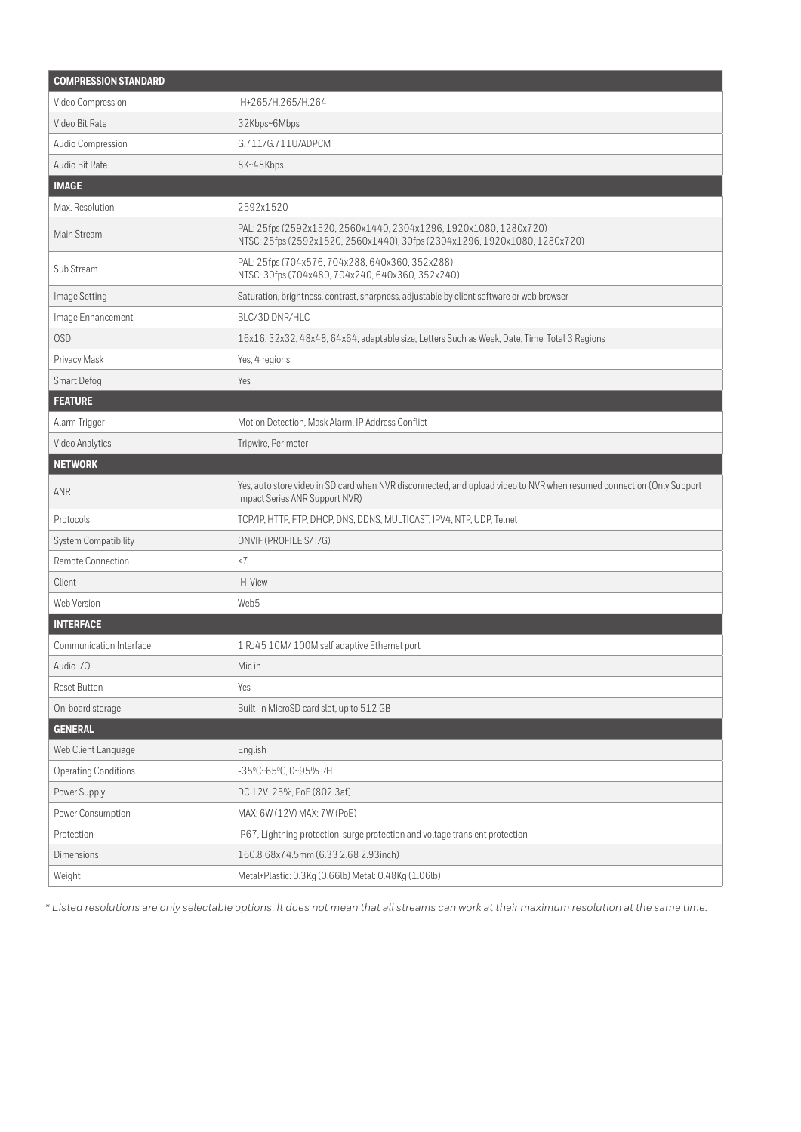| <b>COMPRESSION STANDARD</b> |                                                                                                                                                         |  |
|-----------------------------|---------------------------------------------------------------------------------------------------------------------------------------------------------|--|
| Video Compression           | IH+265/H.265/H.264                                                                                                                                      |  |
| Video Bit Rate              | 32Kbps~6Mbps                                                                                                                                            |  |
| Audio Compression           | G.711/G.711U/ADPCM                                                                                                                                      |  |
| Audio Bit Rate              | 8K~48Kbps                                                                                                                                               |  |
| <b>IMAGE</b>                |                                                                                                                                                         |  |
| Max. Resolution             | 2592x1520                                                                                                                                               |  |
| Main Stream                 | PAL: 25fps (2592x1520, 2560x1440, 2304x1296, 1920x1080, 1280x720)<br>NTSC: 25fps (2592x1520, 2560x1440), 30fps (2304x1296, 1920x1080, 1280x720)         |  |
| Sub Stream                  | PAL: 25fps (704x576, 704x288, 640x360, 352x288)<br>NTSC: 30fps (704x480, 704x240, 640x360, 352x240)                                                     |  |
| Image Setting               | Saturation, brightness, contrast, sharpness, adjustable by client software or web browser                                                               |  |
| Image Enhancement           | BLC/3D DNR/HLC                                                                                                                                          |  |
| OSD                         | 16x16, 32x32, 48x48, 64x64, adaptable size, Letters Such as Week, Date, Time, Total 3 Regions                                                           |  |
| Privacy Mask                | Yes, 4 regions                                                                                                                                          |  |
| Smart Defog                 | Yes                                                                                                                                                     |  |
| <b>FEATURE</b>              |                                                                                                                                                         |  |
| Alarm Trigger               | Motion Detection, Mask Alarm, IP Address Conflict                                                                                                       |  |
| Video Analytics             | Tripwire, Perimeter                                                                                                                                     |  |
| <b>NETWORK</b>              |                                                                                                                                                         |  |
| ANR                         | Yes, auto store video in SD card when NVR disconnected, and upload video to NVR when resumed connection (Only Support<br>Impact Series ANR Support NVR) |  |
| Protocols                   | TCP/IP, HTTP, FTP, DHCP, DNS, DDNS, MULTICAST, IPV4, NTP, UDP, Telnet                                                                                   |  |
| System Compatibility        | ONVIF (PROFILE S/T/G)                                                                                                                                   |  |
| Remote Connection           | $\leq 7$                                                                                                                                                |  |
| Client                      | IH-View                                                                                                                                                 |  |
| Web Version                 | Web5                                                                                                                                                    |  |
| <b>INTERFACE</b>            |                                                                                                                                                         |  |
| Communication Interface     | 1 RJ45 10M/ 100M self adaptive Ethernet port                                                                                                            |  |
| Audio I/O                   | Mic in                                                                                                                                                  |  |
| Reset Button                | Yes                                                                                                                                                     |  |
| On-board storage            | Built-in MicroSD card slot, up to 512 GB                                                                                                                |  |
| <b>GENERAL</b>              |                                                                                                                                                         |  |
| Web Client Language         | English                                                                                                                                                 |  |
| <b>Operating Conditions</b> | -35°C~65°C, 0~95% RH                                                                                                                                    |  |
| Power Supply                | DC 12V±25%, PoE (802.3af)                                                                                                                               |  |
| Power Consumption           | MAX: 6W (12V) MAX: 7W (PoE)                                                                                                                             |  |
| Protection                  | IP67, Lightning protection, surge protection and voltage transient protection                                                                           |  |
| Dimensions                  | 160.8 68x74.5mm (6.33 2.68 2.93inch)                                                                                                                    |  |
| Weight                      | Metal+Plastic: 0.3Kg (0.66lb) Metal: 0.48Kg (1.06lb)                                                                                                    |  |

*\* Listed resolutions are only selectable options. It does not mean that all streams can work at their maximum resolution at the same time.*